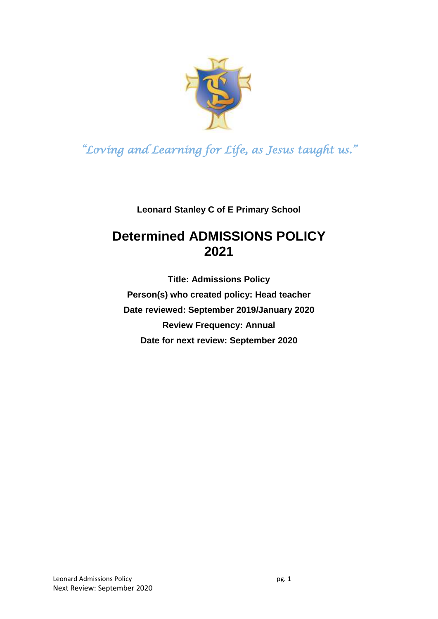

**Leonard Stanley C of E Primary School**

## **Determined ADMISSIONS POLICY 2021**

**Title: Admissions Policy Person(s) who created policy: Head teacher Date reviewed: September 2019/January 2020 Review Frequency: Annual Date for next review: September 2020**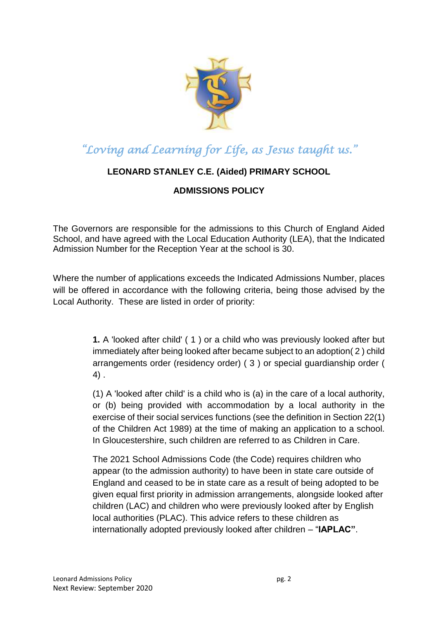

### **LEONARD STANLEY C.E. (Aided) PRIMARY SCHOOL**

### **ADMISSIONS POLICY**

The Governors are responsible for the admissions to this Church of England Aided School, and have agreed with the Local Education Authority (LEA), that the Indicated Admission Number for the Reception Year at the school is 30.

Where the number of applications exceeds the Indicated Admissions Number, places will be offered in accordance with the following criteria, being those advised by the Local Authority. These are listed in order of priority:

> **1.** A 'looked after child' ( 1 ) or a child who was previously looked after but immediately after being looked after became subject to an adoption( 2 ) child arrangements order (residency order) ( 3 ) or special guardianship order ( 4) .

> (1) A 'looked after child' is a child who is (a) in the care of a local authority, or (b) being provided with accommodation by a local authority in the exercise of their social services functions (see the definition in Section 22(1) of the Children Act 1989) at the time of making an application to a school. In Gloucestershire, such children are referred to as Children in Care.

> The 2021 School Admissions Code (the Code) requires children who appear (to the admission authority) to have been in state care outside of England and ceased to be in state care as a result of being adopted to be given equal first priority in admission arrangements, alongside looked after children (LAC) and children who were previously looked after by English local authorities (PLAC). This advice refers to these children as internationally adopted previously looked after children – "**IAPLAC"**.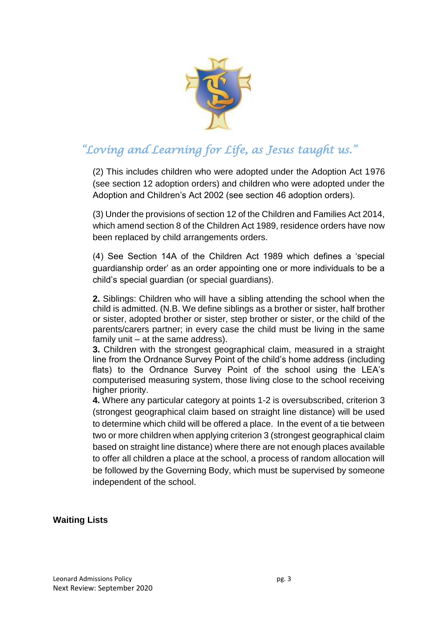

(2) This includes children who were adopted under the Adoption Act 1976 (see section 12 adoption orders) and children who were adopted under the Adoption and Children's Act 2002 (see section 46 adoption orders).

(3) Under the provisions of section 12 of the Children and Families Act 2014, which amend section 8 of the Children Act 1989, residence orders have now been replaced by child arrangements orders.

(4) See Section 14A of the Children Act 1989 which defines a 'special guardianship order' as an order appointing one or more individuals to be a child's special guardian (or special guardians).

**2.** Siblings: Children who will have a sibling attending the school when the child is admitted. (N.B. We define siblings as a brother or sister, half brother or sister, adopted brother or sister, step brother or sister, or the child of the parents/carers partner; in every case the child must be living in the same family unit – at the same address).

**3.** Children with the strongest geographical claim, measured in a straight line from the Ordnance Survey Point of the child's home address (including flats) to the Ordnance Survey Point of the school using the LEA's computerised measuring system, those living close to the school receiving higher priority.

**4.** Where any particular category at points 1-2 is oversubscribed, criterion 3 (strongest geographical claim based on straight line distance) will be used to determine which child will be offered a place. In the event of a tie between two or more children when applying criterion 3 (strongest geographical claim based on straight line distance) where there are not enough places available to offer all children a place at the school, a process of random allocation will be followed by the Governing Body, which must be supervised by someone independent of the school.

#### **Waiting Lists**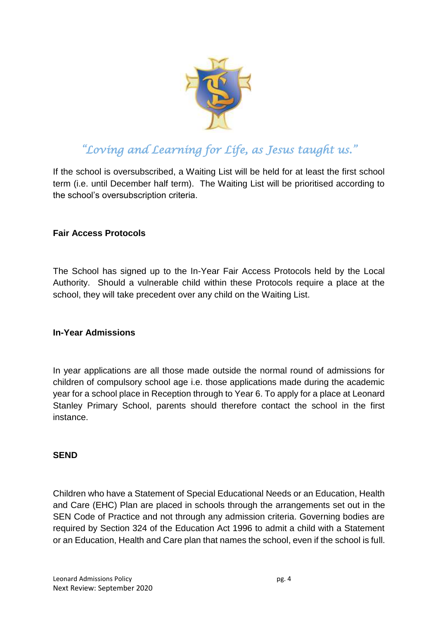

If the school is oversubscribed, a Waiting List will be held for at least the first school term (i.e. until December half term). The Waiting List will be prioritised according to the school's oversubscription criteria.

### **Fair Access Protocols**

The School has signed up to the In-Year Fair Access Protocols held by the Local Authority. Should a vulnerable child within these Protocols require a place at the school, they will take precedent over any child on the Waiting List.

### **In-Year Admissions**

In year applications are all those made outside the normal round of admissions for children of compulsory school age i.e. those applications made during the academic year for a school place in Reception through to Year 6. To apply for a place at Leonard Stanley Primary School, parents should therefore contact the school in the first instance.

#### **SEND**

Children who have a Statement of Special Educational Needs or an Education, Health and Care (EHC) Plan are placed in schools through the arrangements set out in the SEN Code of Practice and not through any admission criteria. Governing bodies are required by Section 324 of the Education Act 1996 to admit a child with a Statement or an Education, Health and Care plan that names the school, even if the school is full.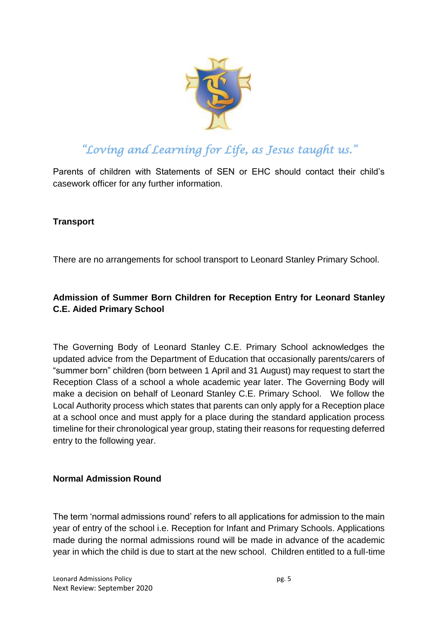

Parents of children with Statements of SEN or EHC should contact their child's casework officer for any further information.

### **Transport**

There are no arrangements for school transport to Leonard Stanley Primary School.

### **Admission of Summer Born Children for Reception Entry for Leonard Stanley C.E. Aided Primary School**

The Governing Body of Leonard Stanley C.E. Primary School acknowledges the updated advice from the Department of Education that occasionally parents/carers of "summer born" children (born between 1 April and 31 August) may request to start the Reception Class of a school a whole academic year later. The Governing Body will make a decision on behalf of Leonard Stanley C.E. Primary School. We follow the Local Authority process which states that parents can only apply for a Reception place at a school once and must apply for a place during the standard application process timeline for their chronological year group, stating their reasons for requesting deferred entry to the following year.

### **Normal Admission Round**

The term 'normal admissions round' refers to all applications for admission to the main year of entry of the school i.e. Reception for Infant and Primary Schools. Applications made during the normal admissions round will be made in advance of the academic year in which the child is due to start at the new school. Children entitled to a full-time